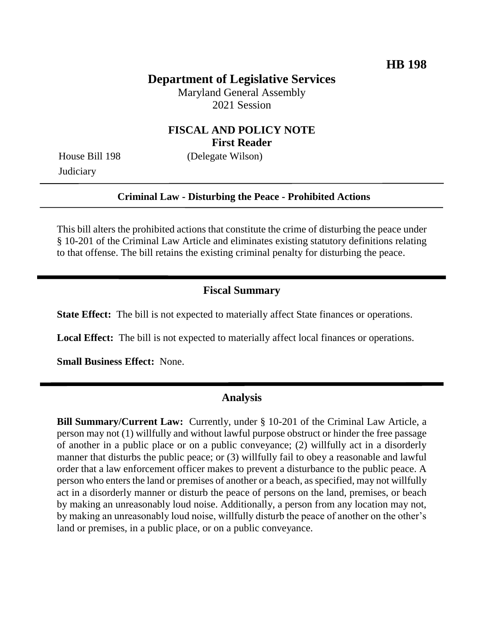## **Department of Legislative Services**

Maryland General Assembly 2021 Session

## **FISCAL AND POLICY NOTE First Reader**

**Judiciary** 

House Bill 198 (Delegate Wilson)

### **Criminal Law - Disturbing the Peace - Prohibited Actions**

This bill alters the prohibited actions that constitute the crime of disturbing the peace under § 10-201 of the Criminal Law Article and eliminates existing statutory definitions relating to that offense. The bill retains the existing criminal penalty for disturbing the peace.

## **Fiscal Summary**

**State Effect:** The bill is not expected to materially affect State finances or operations.

**Local Effect:** The bill is not expected to materially affect local finances or operations.

**Small Business Effect:** None.

#### **Analysis**

**Bill Summary/Current Law:** Currently, under § 10-201 of the Criminal Law Article, a person may not (1) willfully and without lawful purpose obstruct or hinder the free passage of another in a public place or on a public conveyance; (2) willfully act in a disorderly manner that disturbs the public peace; or (3) willfully fail to obey a reasonable and lawful order that a law enforcement officer makes to prevent a disturbance to the public peace. A person who enters the land or premises of another or a beach, as specified, may not willfully act in a disorderly manner or disturb the peace of persons on the land, premises, or beach by making an unreasonably loud noise. Additionally, a person from any location may not, by making an unreasonably loud noise, willfully disturb the peace of another on the other's land or premises, in a public place, or on a public conveyance.